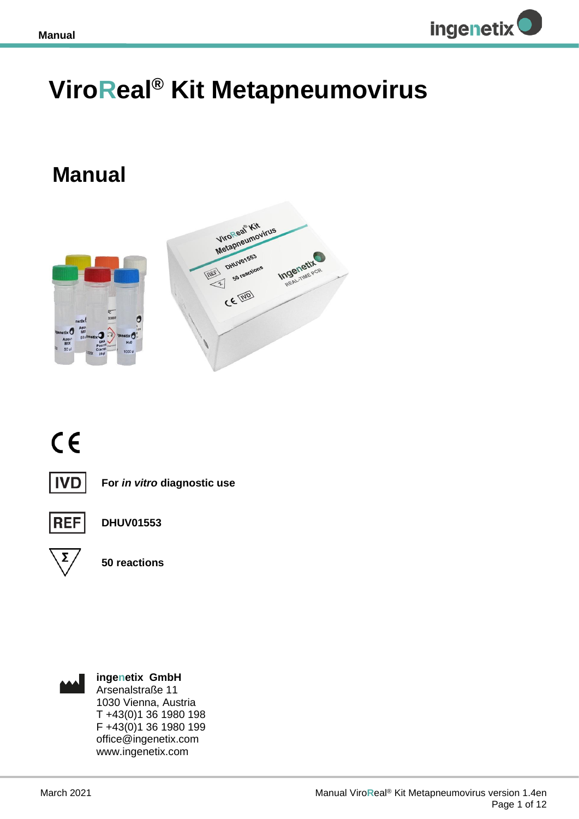

## **ViroReal® Kit Metapneumovirus**

## **Manual**



# $C \in$



**For** *in vitro* **diagnostic use**



**DHUV01553**



**50 reactions**



**ingenetix GmbH** Arsenalstraße 11 1030 Vienna, Austria T +43(0)1 36 1980 198 F +43(0)1 36 1980 199 office@ingenetix.com www.ingenetix.com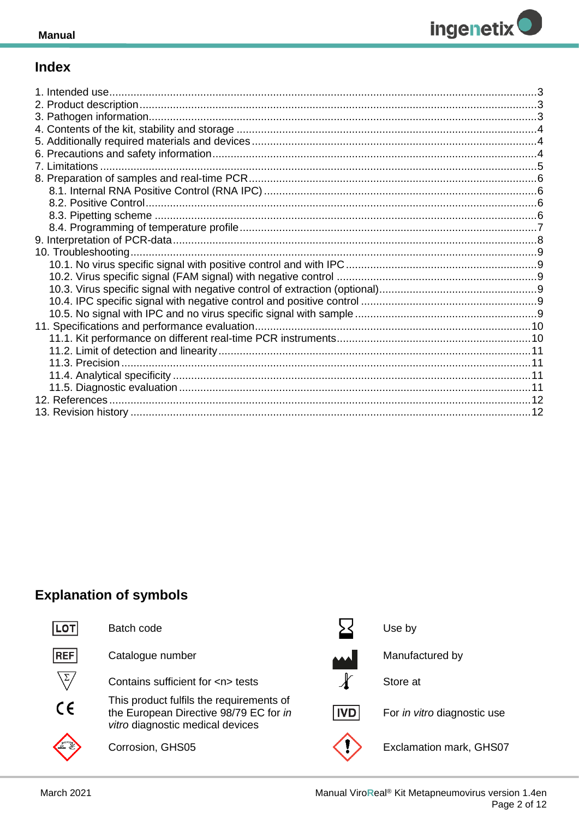

## **Index**

| 13. Revision history | .12 |
|----------------------|-----|

## **Explanation of symbols**

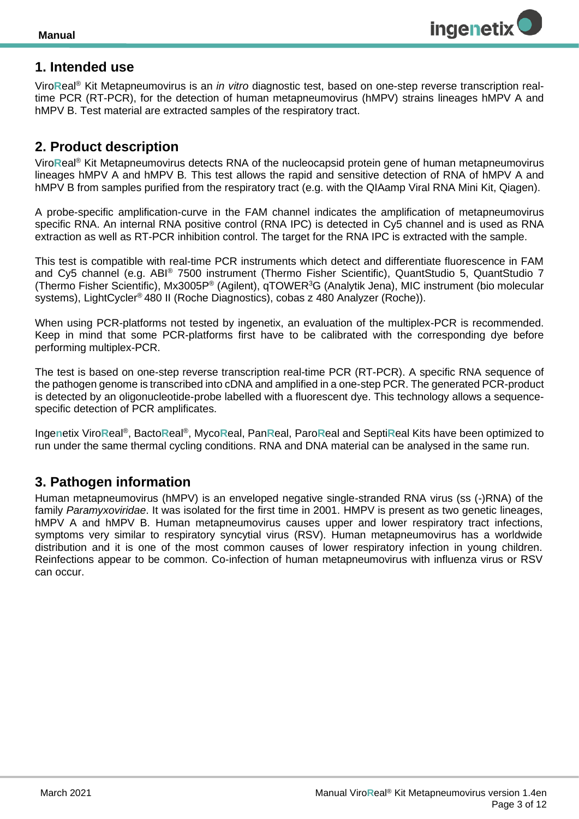

## <span id="page-2-0"></span>**1. Intended use**

Viro**R**eal® Kit Metapneumovirus is an *in vitro* diagnostic test, based on one-step reverse transcription realtime PCR (RT-PCR), for the detection of human metapneumovirus (hMPV) strains lineages hMPV A and hMPV B. Test material are extracted samples of the respiratory tract.

## <span id="page-2-1"></span>**2. Product description**

Viro**R**eal® Kit Metapneumovirus detects RNA of the nucleocapsid protein gene of human metapneumovirus lineages hMPV A and hMPV B*.* This test allows the rapid and sensitive detection of RNA of hMPV A and hMPV B from samples purified from the respiratory tract (e.g. with the QIAamp Viral RNA Mini Kit, Qiagen).

A probe-specific amplification-curve in the FAM channel indicates the amplification of metapneumovirus specific RNA. An internal RNA positive control (RNA IPC) is detected in Cy5 channel and is used as RNA extraction as well as RT-PCR inhibition control. The target for the RNA IPC is extracted with the sample.

This test is compatible with real-time PCR instruments which detect and differentiate fluorescence in FAM and Cy5 channel (e.g. ABI® 7500 instrument (Thermo Fisher Scientific), QuantStudio 5, QuantStudio 7 (Thermo Fisher Scientific), Mx3005P® (Agilent), qTOWER<sup>3</sup>G (Analytik Jena), MIC instrument (bio molecular systems), LightCycler® 480 II (Roche Diagnostics), cobas z 480 Analyzer (Roche)).

When using PCR-platforms not tested by ingenetix, an evaluation of the multiplex-PCR is recommended. Keep in mind that some PCR-platforms first have to be calibrated with the corresponding dye before performing multiplex-PCR.

The test is based on one-step reverse transcription real-time PCR (RT-PCR). A specific RNA sequence of the pathogen genome is transcribed into cDNA and amplified in a one-step PCR. The generated PCR-product is detected by an oligonucleotide-probe labelled with a fluorescent dye. This technology allows a sequencespecific detection of PCR amplificates.

Ingenetix ViroReal®, BactoReal®, MycoReal, PanReal, ParoReal and SeptiReal Kits have been optimized to run under the same thermal cycling conditions. RNA and DNA material can be analysed in the same run.

## <span id="page-2-2"></span>**3. Pathogen information**

Human metapneumovirus (hMPV) is an enveloped negative single-stranded RNA virus (ss (-)RNA) of the family *Paramyxoviridae*. It was isolated for the first time in 2001. HMPV is present as two genetic lineages, hMPV A and hMPV B. Human metapneumovirus causes upper and lower respiratory tract infections, symptoms very similar to respiratory syncytial virus (RSV). Human metapneumovirus has a worldwide distribution and it is one of the most common causes of lower respiratory infection in young children. Reinfections appear to be common. Co-infection of human metapneumovirus with influenza virus or RSV can occur.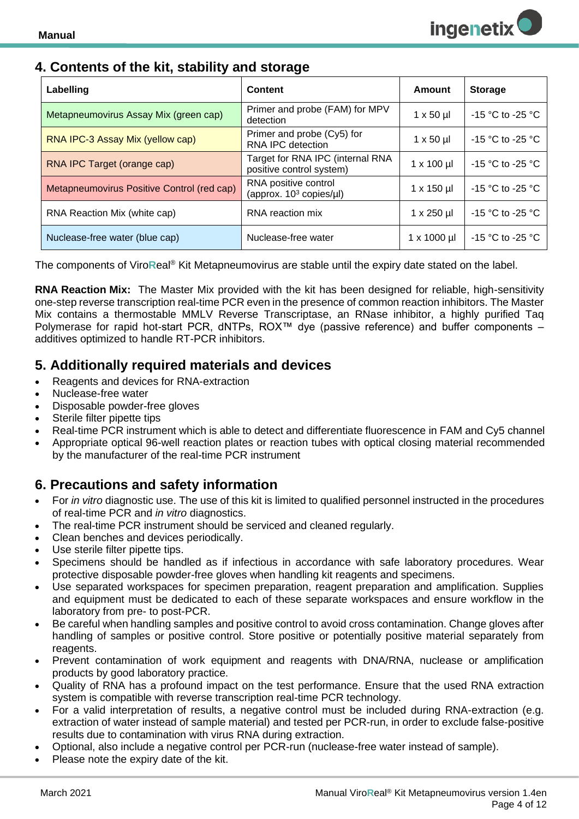## <span id="page-3-0"></span>**4. Contents of the kit, stability and storage**

| Labelling                                  | Content                                                      | Amount            | <b>Storage</b>       |
|--------------------------------------------|--------------------------------------------------------------|-------------------|----------------------|
| Metapneumovirus Assay Mix (green cap)      | Primer and probe (FAM) for MPV<br>detection                  | $1 \times 50 \mu$ | $-15$ °C to $-25$ °C |
| RNA IPC-3 Assay Mix (yellow cap)           | Primer and probe (Cy5) for<br>RNA IPC detection              | $1 \times 50 \mu$ | $-15$ °C to $-25$ °C |
| RNA IPC Target (orange cap)                | Target for RNA IPC (internal RNA<br>positive control system) | $1 \times 100$ µl | $-15$ °C to $-25$ °C |
| Metapneumovirus Positive Control (red cap) | RNA positive control<br>(approx. $10^3$ copies/µl)           | $1 \times 150$ µl | $-15$ °C to $-25$ °C |
| RNA Reaction Mix (white cap)               | RNA reaction mix                                             | $1 \times 250$ µl | $-15$ °C to -25 °C   |
| Nuclease-free water (blue cap)             | Nuclease-free water                                          | 1 x 1000 µl       | $-15$ °C to $-25$ °C |

The components of Viro**R**eal® Kit Metapneumovirus are stable until the expiry date stated on the label.

**RNA Reaction Mix:** The Master Mix provided with the kit has been designed for reliable, high-sensitivity one-step reverse transcription real-time PCR even in the presence of common reaction inhibitors. The Master Mix contains a thermostable MMLV Reverse Transcriptase, an RNase inhibitor, a highly purified Taq Polymerase for rapid hot-start PCR, dNTPs, ROX™ dye (passive reference) and buffer components – additives optimized to handle RT-PCR inhibitors.

## <span id="page-3-1"></span>**5. Additionally required materials and devices**

- Reagents and devices for RNA-extraction
- Nuclease-free water
- Disposable powder-free gloves
- Sterile filter pipette tips
- Real-time PCR instrument which is able to detect and differentiate fluorescence in FAM and Cy5 channel
- Appropriate optical 96-well reaction plates or reaction tubes with optical closing material recommended by the manufacturer of the real-time PCR instrument

## <span id="page-3-2"></span>**6. Precautions and safety information**

- For *in vitro* diagnostic use. The use of this kit is limited to qualified personnel instructed in the procedures of real-time PCR and *in vitro* diagnostics.
- The real-time PCR instrument should be serviced and cleaned regularly.
- Clean benches and devices periodically.
- Use sterile filter pipette tips.
- Specimens should be handled as if infectious in accordance with safe laboratory procedures. Wear protective disposable powder-free gloves when handling kit reagents and specimens.
- Use separated workspaces for specimen preparation, reagent preparation and amplification. Supplies and equipment must be dedicated to each of these separate workspaces and ensure workflow in the laboratory from pre- to post-PCR.
- Be careful when handling samples and positive control to avoid cross contamination. Change gloves after handling of samples or positive control. Store positive or potentially positive material separately from reagents.
- Prevent contamination of work equipment and reagents with DNA/RNA, nuclease or amplification products by good laboratory practice.
- Quality of RNA has a profound impact on the test performance. Ensure that the used RNA extraction system is compatible with reverse transcription real-time PCR technology.
- For a valid interpretation of results, a negative control must be included during RNA-extraction (e.g. extraction of water instead of sample material) and tested per PCR-run, in order to exclude false-positive results due to contamination with virus RNA during extraction.
- Optional, also include a negative control per PCR-run (nuclease-free water instead of sample).
- Please note the expiry date of the kit.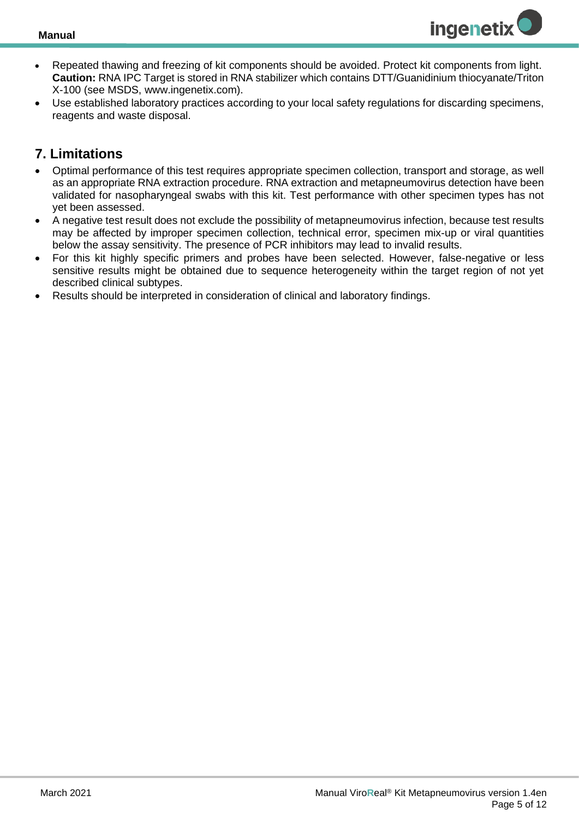

- Repeated thawing and freezing of kit components should be avoided. Protect kit components from light. **Caution:** RNA IPC Target is stored in RNA stabilizer which contains DTT/Guanidinium thiocyanate/Triton X-100 (see MSDS, www.ingenetix.com).
- Use established laboratory practices according to your local safety regulations for discarding specimens, reagents and waste disposal.

## <span id="page-4-0"></span>**7. Limitations**

- Optimal performance of this test requires appropriate specimen collection, transport and storage, as well as an appropriate RNA extraction procedure. RNA extraction and metapneumovirus detection have been validated for nasopharyngeal swabs with this kit. Test performance with other specimen types has not yet been assessed.
- A negative test result does not exclude the possibility of metapneumovirus infection, because test results may be affected by improper specimen collection, technical error, specimen mix-up or viral quantities below the assay sensitivity. The presence of PCR inhibitors may lead to invalid results.
- For this kit highly specific primers and probes have been selected. However, false-negative or less sensitive results might be obtained due to sequence heterogeneity within the target region of not yet described clinical subtypes.
- Results should be interpreted in consideration of clinical and laboratory findings.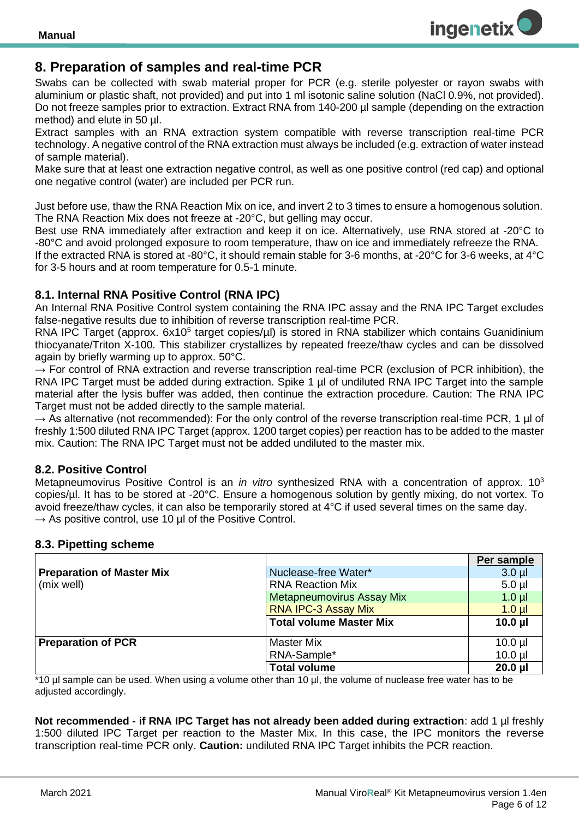

## <span id="page-5-0"></span>**8. Preparation of samples and real-time PCR**

Swabs can be collected with swab material proper for PCR (e.g. sterile polyester or rayon swabs with aluminium or plastic shaft, not provided) and put into 1 ml isotonic saline solution (NaCl 0.9%, not provided). Do not freeze samples prior to extraction. Extract RNA from 140-200 µl sample (depending on the extraction method) and elute in 50 ul.

Extract samples with an RNA extraction system compatible with reverse transcription real-time PCR technology. A negative control of the RNA extraction must always be included (e.g. extraction of water instead of sample material).

Make sure that at least one extraction negative control, as well as one positive control (red cap) and optional one negative control (water) are included per PCR run.

Just before use, thaw the RNA Reaction Mix on ice, and invert 2 to 3 times to ensure a homogenous solution. The RNA Reaction Mix does not freeze at -20°C, but gelling may occur.

Best use RNA immediately after extraction and keep it on ice. Alternatively, use RNA stored at -20°C to -80°C and avoid prolonged exposure to room temperature, thaw on ice and immediately refreeze the RNA. If the extracted RNA is stored at -80°C, it should remain stable for 3-6 months, at -20°C for 3-6 weeks, at 4°C

for 3-5 hours and at room temperature for 0.5-1 minute.

#### <span id="page-5-1"></span>**8.1. Internal RNA Positive Control (RNA IPC)**

An Internal RNA Positive Control system containing the RNA IPC assay and the RNA IPC Target excludes false-negative results due to inhibition of reverse transcription real-time PCR.

RNA IPC Target (approx. 6x10<sup>5</sup> target copies/µI) is stored in RNA stabilizer which contains Guanidinium thiocyanate/Triton X-100. This stabilizer crystallizes by repeated freeze/thaw cycles and can be dissolved again by briefly warming up to approx. 50°C.

 $\rightarrow$  For control of RNA extraction and reverse transcription real-time PCR (exclusion of PCR inhibition), the RNA IPC Target must be added during extraction. Spike 1 ul of undiluted RNA IPC Target into the sample material after the lysis buffer was added, then continue the extraction procedure. Caution: The RNA IPC Target must not be added directly to the sample material.

 $\rightarrow$  As alternative (not recommended): For the only control of the reverse transcription real-time PCR, 1 µl of freshly 1:500 diluted RNA IPC Target (approx. 1200 target copies) per reaction has to be added to the master mix. Caution: The RNA IPC Target must not be added undiluted to the master mix.

#### <span id="page-5-2"></span>**8.2. Positive Control**

Metapneumovirus Positive Control is an *in vitro* synthesized RNA with a concentration of approx. 10<sup>3</sup> copies/µl. It has to be stored at -20°C. Ensure a homogenous solution by gently mixing, do not vortex. To avoid freeze/thaw cycles, it can also be temporarily stored at 4°C if used several times on the same day.  $\rightarrow$  As positive control, use 10 µl of the Positive Control.

#### <span id="page-5-3"></span>**8.3. Pipetting scheme**

|                                  |                                  | Per sample   |
|----------------------------------|----------------------------------|--------------|
| <b>Preparation of Master Mix</b> | Nuclease-free Water*             | $3.0 \mu$    |
| (mix well)                       | <b>RNA Reaction Mix</b>          | $5.0$ $\mu$  |
|                                  | <b>Metapneumovirus Assay Mix</b> | $1.0 \mu$    |
|                                  | <b>RNA IPC-3 Assay Mix</b>       | $1.0 \mu$    |
|                                  | <b>Total volume Master Mix</b>   | $10.0$ $\mu$ |
|                                  |                                  |              |
| <b>Preparation of PCR</b>        | <b>Master Mix</b>                | $10.0$ $\mu$ |
|                                  | RNA-Sample*                      | $10.0$ $\mu$ |
|                                  | <b>Total volume</b>              | $20.0$ $\mu$ |

\*10 µl sample can be used. When using a volume other than 10 µl, the volume of nuclease free water has to be adjusted accordingly.

**Not recommended - if RNA IPC Target has not already been added during extraction**: add 1 µl freshly 1:500 diluted IPC Target per reaction to the Master Mix. In this case, the IPC monitors the reverse transcription real-time PCR only. **Caution:** undiluted RNA IPC Target inhibits the PCR reaction.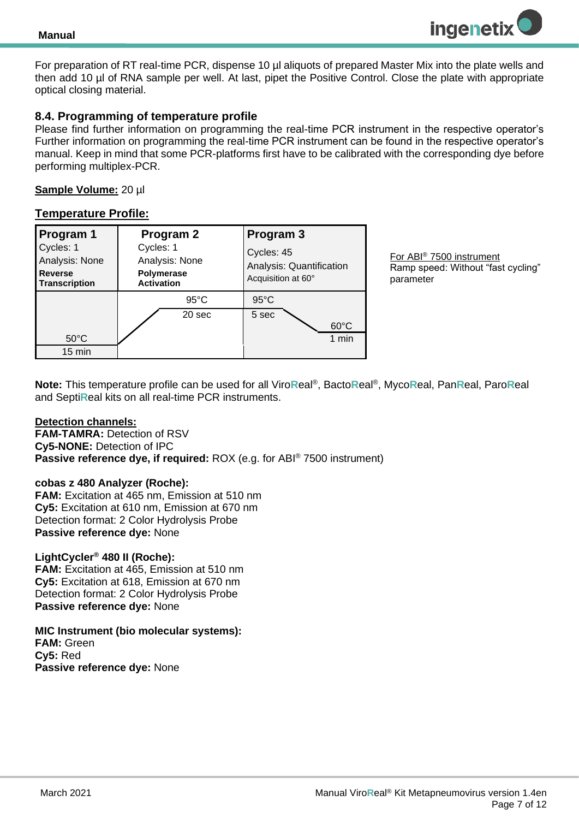

For preparation of RT real-time PCR, dispense 10 µl aliquots of prepared Master Mix into the plate wells and then add 10 µl of RNA sample per well. At last, pipet the Positive Control. Close the plate with appropriate optical closing material.

#### <span id="page-6-0"></span>**8.4. Programming of temperature profile**

Please find further information on programming the real-time PCR instrument in the respective operator's Further information on programming the real-time PCR instrument can be found in the respective operator's manual. Keep in mind that some PCR-platforms first have to be calibrated with the corresponding dye before performing multiplex-PCR.

#### **Sample Volume:** 20 µl

#### **Temperature Profile:**

| Program 1                                                             | Program 2                                                             | Program 3                                                    |
|-----------------------------------------------------------------------|-----------------------------------------------------------------------|--------------------------------------------------------------|
| Cycles: 1<br>Analysis: None<br><b>Reverse</b><br><b>Transcription</b> | Cycles: 1<br>Analysis: None<br><b>Polymerase</b><br><b>Activation</b> | Cycles: 45<br>Analysis: Quantification<br>Acquisition at 60° |
|                                                                       | $95^{\circ}$ C                                                        | $95^{\circ}$ C                                               |
| $50^{\circ}$ C                                                        | 20 sec                                                                | 5 sec<br>$60^{\circ}$ C<br>1 min                             |
| $15 \text{ min}$                                                      |                                                                       |                                                              |

For ABI® 7500 instrument Ramp speed: Without "fast cycling" parameter

**Note:** This temperature profile can be used for all Viro**R**eal® , Bacto**R**eal® , Myco**R**eal, Pan**R**eal, Paro**R**eal and Septi**R**eal kits on all real-time PCR instruments.

#### **Detection channels:**

**FAM-TAMRA: Detection of RSV Cy5-NONE:** Detection of IPC **Passive reference dye, if required:** ROX (e.g. for ABI® 7500 instrument)

#### **cobas z 480 Analyzer (Roche):**

**FAM:** Excitation at 465 nm, Emission at 510 nm **Cy5:** Excitation at 610 nm, Emission at 670 nm Detection format: 2 Color Hydrolysis Probe **Passive reference dye:** None

#### **LightCycler® 480 II (Roche):**

**FAM:** Excitation at 465, Emission at 510 nm **Cy5:** Excitation at 618, Emission at 670 nm Detection format: 2 Color Hydrolysis Probe **Passive reference dye:** None

**MIC Instrument (bio molecular systems): FAM:** Green **Cy5:** Red **Passive reference dye:** None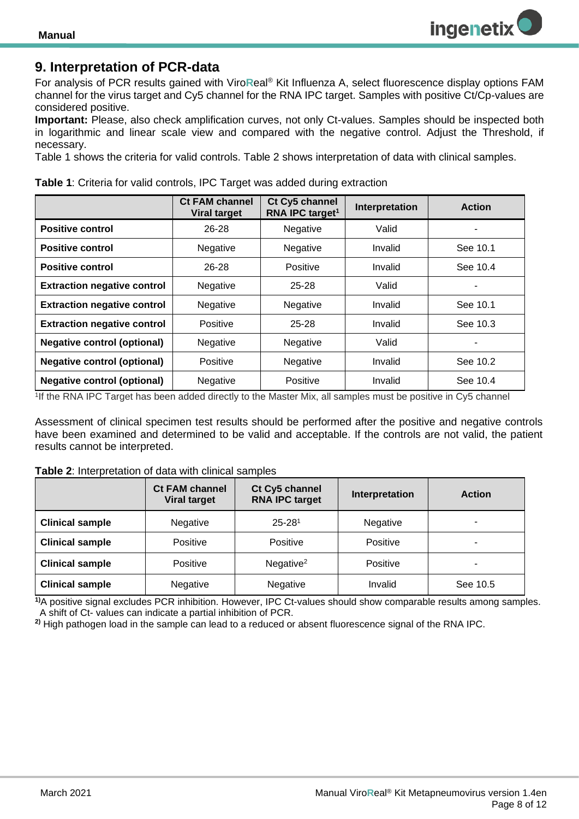## <span id="page-7-0"></span>**9. Interpretation of PCR-data**

For analysis of PCR results gained with Viro**R**eal® Kit Influenza A, select fluorescence display options FAM channel for the virus target and Cy5 channel for the RNA IPC target. Samples with positive Ct/Cp-values are considered positive.

**Important:** Please, also check amplification curves, not only Ct-values. Samples should be inspected both in logarithmic and linear scale view and compared with the negative control. Adjust the Threshold, if necessary.

Table 1 shows the criteria for valid controls. Table 2 shows interpretation of data with clinical samples.

| <b>Table 1:</b> Criteria for valid controls, IPC Target was added during extraction |  |  |
|-------------------------------------------------------------------------------------|--|--|
|-------------------------------------------------------------------------------------|--|--|

|                                    | <b>Ct FAM channel</b><br><b>Viral target</b> | Ct Cy5 channel<br>RNA IPC target <sup>1</sup> | Interpretation | <b>Action</b> |
|------------------------------------|----------------------------------------------|-----------------------------------------------|----------------|---------------|
| <b>Positive control</b>            | $26 - 28$                                    | Negative                                      | Valid          |               |
| <b>Positive control</b>            | Negative                                     | Negative                                      | Invalid        | See 10.1      |
| <b>Positive control</b>            | 26-28                                        | <b>Positive</b>                               | Invalid        | See 10.4      |
| <b>Extraction negative control</b> | Negative                                     | $25 - 28$                                     | Valid          |               |
| <b>Extraction negative control</b> | <b>Negative</b>                              | Negative                                      | Invalid        | See 10.1      |
| <b>Extraction negative control</b> | Positive                                     | $25 - 28$                                     | Invalid        | See 10.3      |
| <b>Negative control (optional)</b> | <b>Negative</b>                              | Negative                                      | Valid          |               |
| <b>Negative control (optional)</b> | Positive                                     | Negative                                      | Invalid        | See 10.2      |
| <b>Negative control (optional)</b> | Negative                                     | Positive                                      | Invalid        | See 10.4      |

1 If the RNA IPC Target has been added directly to the Master Mix, all samples must be positive in Cy5 channel

Assessment of clinical specimen test results should be performed after the positive and negative controls have been examined and determined to be valid and acceptable. If the controls are not valid, the patient results cannot be interpreted.

#### **Table 2**: Interpretation of data with clinical samples

|                        | <b>Ct FAM channel</b><br><b>Viral target</b> | Ct Cy5 channel<br><b>RNA IPC target</b> | Interpretation | <b>Action</b> |
|------------------------|----------------------------------------------|-----------------------------------------|----------------|---------------|
| <b>Clinical sample</b> | Negative                                     | $25 - 281$                              | Negative       | ۰             |
| <b>Clinical sample</b> | <b>Positive</b>                              | Positive                                | Positive       | -             |
| <b>Clinical sample</b> | Positive                                     | Negative $2$                            | Positive       | ۰             |
| <b>Clinical sample</b> | Negative                                     | Negative                                | Invalid        | See 10.5      |

**1)**A positive signal excludes PCR inhibition. However, IPC Ct-values should show comparable results among samples. A shift of Ct- values can indicate a partial inhibition of PCR.

**2)** High pathogen load in the sample can lead to a reduced or absent fluorescence signal of the RNA IPC.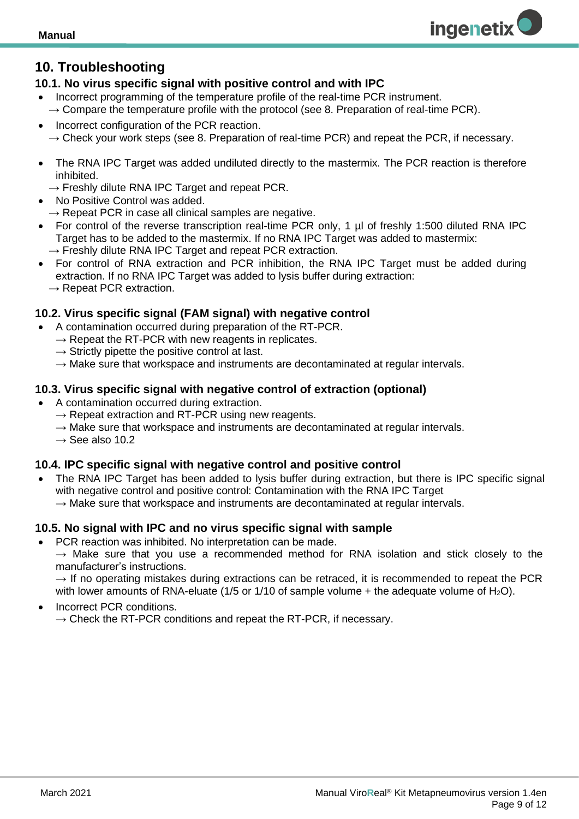## <span id="page-8-0"></span>**10. Troubleshooting**

#### <span id="page-8-1"></span>**10.1. No virus specific signal with positive control and with IPC**

- Incorrect programming of the temperature profile of the real-time PCR instrument.  $\rightarrow$  Compare the temperature profile with the protocol (see 8. Preparation of real-time PCR).
- Incorrect configuration of the PCR reaction.  $\rightarrow$  Check your work steps (see 8. Preparation of real-time PCR) and repeat the PCR, if necessary.
- The RNA IPC Target was added undiluted directly to the mastermix. The PCR reaction is therefore inhibited.
- $\rightarrow$  Freshly dilute RNA IPC Target and repeat PCR.
- No Positive Control was added.
	- $\rightarrow$  Repeat PCR in case all clinical samples are negative.
- For control of the reverse transcription real-time PCR only, 1 µl of freshly 1:500 diluted RNA IPC Target has to be added to the mastermix. If no RNA IPC Target was added to mastermix:
	- $\rightarrow$  Freshly dilute RNA IPC Target and repeat PCR extraction.
- For control of RNA extraction and PCR inhibition, the RNA IPC Target must be added during extraction. If no RNA IPC Target was added to lysis buffer during extraction:  $\rightarrow$  Repeat PCR extraction.

## <span id="page-8-2"></span>**10.2. Virus specific signal (FAM signal) with negative control**

- A contamination occurred during preparation of the RT-PCR.
	- $\rightarrow$  Repeat the RT-PCR with new reagents in replicates.
	- $\rightarrow$  Strictly pipette the positive control at last.
	- $\rightarrow$  Make sure that workspace and instruments are decontaminated at regular intervals.

#### <span id="page-8-3"></span>**10.3. Virus specific signal with negative control of extraction (optional)**

- A contamination occurred during extraction.
	- $\rightarrow$  Repeat extraction and RT-PCR using new reagents.
	- $\rightarrow$  Make sure that workspace and instruments are decontaminated at regular intervals.
	- $\rightarrow$  See also 10.2

#### <span id="page-8-4"></span>**10.4. IPC specific signal with negative control and positive control**

The RNA IPC Target has been added to lysis buffer during extraction, but there is IPC specific signal with negative control and positive control: Contamination with the RNA IPC Target  $\rightarrow$  Make sure that workspace and instruments are decontaminated at regular intervals.

#### <span id="page-8-5"></span>**10.5. No signal with IPC and no virus specific signal with sample**

- PCR reaction was inhibited. No interpretation can be made.
	- $\rightarrow$  Make sure that you use a recommended method for RNA isolation and stick closely to the manufacturer's instructions.

 $\rightarrow$  If no operating mistakes during extractions can be retraced, it is recommended to repeat the PCR with lower amounts of RNA-eluate (1/5 or 1/10 of sample volume  $+$  the adequate volume of H<sub>2</sub>O).

• Incorrect PCR conditions.  $\rightarrow$  Check the RT-PCR conditions and repeat the RT-PCR, if necessary. **ingenetix**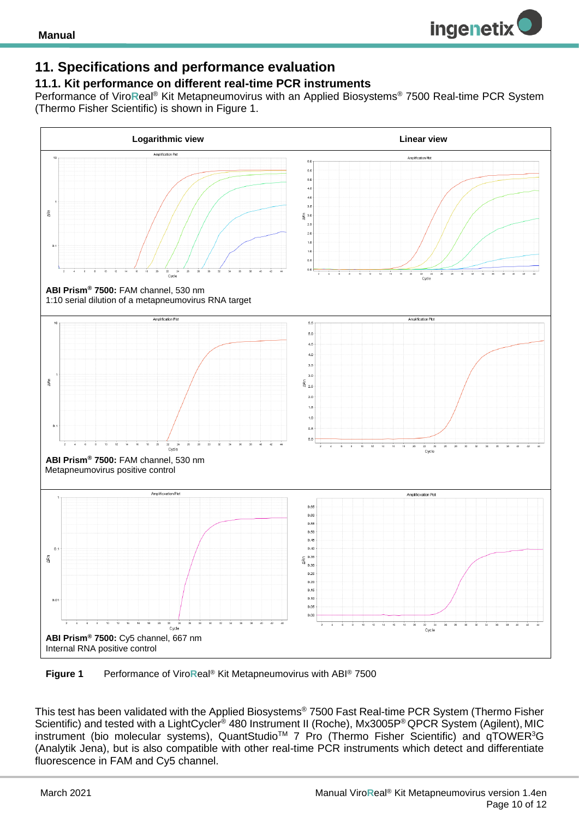## <span id="page-9-0"></span>**11. Specifications and performance evaluation**

#### <span id="page-9-1"></span>**11.1. Kit performance on different real-time PCR instruments**

Performance of Viro**R**eal® Kit Metapneumovirus with an Applied Biosystems® 7500 Real-time PCR System (Thermo Fisher Scientific) is shown in Figure 1.



 **Figure 1** Performance of Viro**R**eal® Kit Metapneumovirus with ABI® 7500

This test has been validated with the Applied Biosystems® 7500 Fast Real-time PCR System (Thermo Fisher Scientific) and tested with a LightCycler® 480 Instrument II (Roche), Mx3005P® QPCR System (Agilent), MIC instrument (bio molecular systems), QuantStudio<sup>™</sup> 7 Pro (Thermo Fisher Scientific) and qTOWER<sup>3</sup>G (Analytik Jena), but is also compatible with other real-time PCR instruments which detect and differentiate fluorescence in FAM and Cy5 channel.

**ingenetix**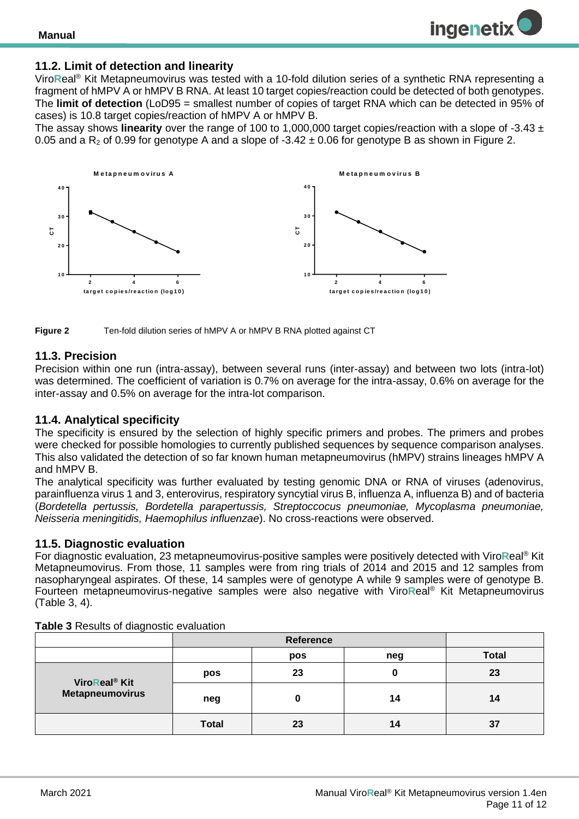#### <span id="page-10-0"></span>**11.2. Limit of detection and linearity**

Viro**R**eal® Kit Metapneumovirus was tested with a 10-fold dilution series of a synthetic RNA representing a fragment of hMPV A or hMPV B RNA. At least 10 target copies/reaction could be detected of both genotypes. The **limit of detection** (LoD95 = smallest number of copies of target RNA which can be detected in 95% of cases) is 10.8 target copies/reaction of hMPV A or hMPV B.

The assay shows **linearity** over the range of 100 to 1,000,000 target copies/reaction with a slope of -3.43 ± 0.05 and a  $R_2$  of 0.99 for genotype A and a slope of -3.42  $\pm$  0.06 for genotype B as shown in Figure 2.



**Figure 2** Ten-fold dilution series of hMPV A or hMPV B RNA plotted against CT

#### <span id="page-10-1"></span>**11.3. Precision**

Precision within one run (intra-assay), between several runs (inter-assay) and between two lots (intra-lot) was determined. The coefficient of variation is 0.7% on average for the intra-assay, 0.6% on average for the inter-assay and 0.5% on average for the intra-lot comparison.

#### <span id="page-10-2"></span>**11.4. Analytical specificity**

The specificity is ensured by the selection of highly specific primers and probes. The primers and probes were checked for possible homologies to currently published sequences by sequence comparison analyses. This also validated the detection of so far known human metapneumovirus (hMPV) strains lineages hMPV A and hMPV B.

The analytical specificity was further evaluated by testing genomic DNA or RNA of viruses (adenovirus, parainfluenza virus 1 and 3, enterovirus, respiratory syncytial virus B, influenza A, influenza B) and of bacteria (*Bordetella pertussis, Bordetella parapertussis, Streptoccocus pneumoniae, Mycoplasma pneumoniae, Neisseria meningitidis, Haemophilus influenzae*). No cross-reactions were observed.

#### <span id="page-10-3"></span>**11.5. Diagnostic evaluation**

For diagnostic evaluation, 23 metapneumovirus-positive samples were positively detected with Viro**R**eal® Kit Metapneumovirus. From those, 11 samples were from ring trials of 2014 and 2015 and 12 samples from nasopharyngeal aspirates. Of these, 14 samples were of genotype A while 9 samples were of genotype B. Fourteen metapneumovirus-negative samples were also negative with Viro**R**eal® Kit Metapneumovirus (Table 3, 4).

|                           | Reference    |     |     |              |
|---------------------------|--------------|-----|-----|--------------|
|                           |              | pos | neg | <b>Total</b> |
| ViroReal <sup>®</sup> Kit | pos          | 23  |     | 23           |
| Metapneumovirus           | neg          |     | 14  | 14           |
|                           | <b>Total</b> | 23  | 14  | 37           |

**Table 3** Results of diagnostic evaluation